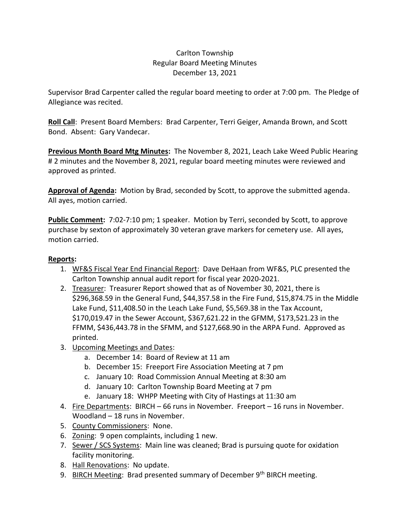## Carlton Township Regular Board Meeting Minutes December 13, 2021

Supervisor Brad Carpenter called the regular board meeting to order at 7:00 pm. The Pledge of Allegiance was recited.

**Roll Call**: Present Board Members: Brad Carpenter, Terri Geiger, Amanda Brown, and Scott Bond. Absent: Gary Vandecar.

**Previous Month Board Mtg Minutes:** The November 8, 2021, Leach Lake Weed Public Hearing # 2 minutes and the November 8, 2021, regular board meeting minutes were reviewed and approved as printed.

**Approval of Agenda:** Motion by Brad, seconded by Scott, to approve the submitted agenda. All ayes, motion carried.

**Public Comment:** 7:02-7:10 pm; 1 speaker. Motion by Terri, seconded by Scott, to approve purchase by sexton of approximately 30 veteran grave markers for cemetery use. All ayes, motion carried.

## **Reports:**

- 1. WF&S Fiscal Year End Financial Report: Dave DeHaan from WF&S, PLC presented the Carlton Township annual audit report for fiscal year 2020-2021.
- 2. Treasurer: Treasurer Report showed that as of November 30, 2021, there is \$296,368.59 in the General Fund, \$44,357.58 in the Fire Fund, \$15,874.75 in the Middle Lake Fund, \$11,408.50 in the Leach Lake Fund, \$5,569.38 in the Tax Account, \$170,019.47 in the Sewer Account, \$367,621.22 in the GFMM, \$173,521.23 in the FFMM, \$436,443.78 in the SFMM, and \$127,668.90 in the ARPA Fund. Approved as printed.
- 3. Upcoming Meetings and Dates:
	- a. December 14: Board of Review at 11 am
	- b. December 15: Freeport Fire Association Meeting at 7 pm
	- c. January 10: Road Commission Annual Meeting at 8:30 am
	- d. January 10: Carlton Township Board Meeting at 7 pm
	- e. January 18: WHPP Meeting with City of Hastings at 11:30 am
- 4. Fire Departments: BIRCH 66 runs in November. Freeport 16 runs in November. Woodland – 18 runs in November.
- 5. County Commissioners: None.
- 6. Zoning: 9 open complaints, including 1 new.
- 7. Sewer / SCS Systems: Main line was cleaned; Brad is pursuing quote for oxidation facility monitoring.
- 8. Hall Renovations: No update.
- 9. BIRCH Meeting: Brad presented summary of December 9<sup>th</sup> BIRCH meeting.